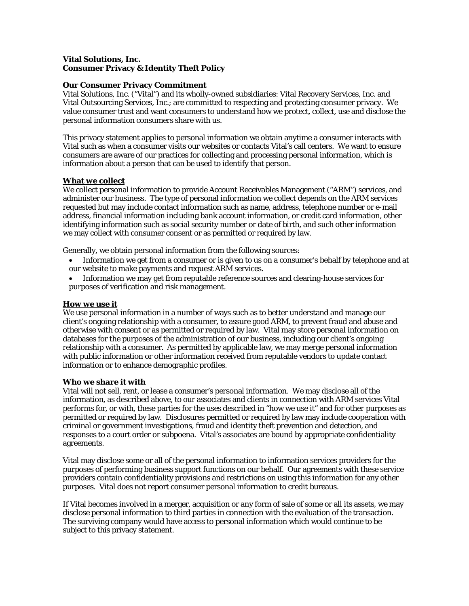# **Vital Solutions, Inc. Consumer Privacy & Identity Theft Policy**

## **Our Consumer Privacy Commitment**

Vital Solutions, Inc. ("Vital") and its wholly-owned subsidiaries: Vital Recovery Services, Inc. and Vital Outsourcing Services, Inc.; are committed to respecting and protecting consumer privacy. We value consumer trust and want consumers to understand how we protect, collect, use and disclose the personal information consumers share with us.

This privacy statement applies to personal information we obtain anytime a consumer interacts with Vital such as when a consumer visits our websites or contacts Vital's call centers. We want to ensure consumers are aware of our practices for collecting and processing personal information, which is information about a person that can be used to identify that person.

## **What we collect**

We collect personal information to provide Account Receivables Management ("ARM") services, and administer our business. The type of personal information we collect depends on the ARM services requested but may include contact information such as name, address, telephone number or e-mail address, financial information including bank account information, or credit card information, other identifying information such as social security number or date of birth, and such other information we may collect with consumer consent or as permitted or required by law.

Generally, we obtain personal information from the following sources:

- Information we get from a consumer or is given to us on a consumer's behalf by telephone and at our website to make payments and request ARM services.
- Information we may get from reputable reference sources and clearing-house services for purposes of verification and risk management.

### **How we use it**

We use personal information in a number of ways such as to better understand and manage our client's ongoing relationship with a consumer, to assure good ARM, to prevent fraud and abuse and otherwise with consent or as permitted or required by law. Vital may store personal information on databases for the purposes of the administration of our business, including our client's ongoing relationship with a consumer. As permitted by applicable law, we may merge personal information with public information or other information received from reputable vendors to update contact information or to enhance demographic profiles.

### **Who we share it with**

Vital will not sell, rent, or lease a consumer's personal information. We may disclose all of the information, as described above, to our associates and clients in connection with ARM services Vital performs for, or with, these parties for the uses described in "how we use it" and for other purposes as permitted or required by law. Disclosures permitted or required by law may include cooperation with criminal or government investigations, fraud and identity theft prevention and detection, and responses to a court order or subpoena. Vital's associates are bound by appropriate confidentiality agreements.

Vital may disclose some or all of the personal information to information services providers for the purposes of performing business support functions on our behalf. Our agreements with these service providers contain confidentiality provisions and restrictions on using this information for any other purposes. Vital does not report consumer personal information to credit bureaus.

If Vital becomes involved in a merger, acquisition or any form of sale of some or all its assets, we may disclose personal information to third parties in connection with the evaluation of the transaction. The surviving company would have access to personal information which would continue to be subject to this privacy statement.